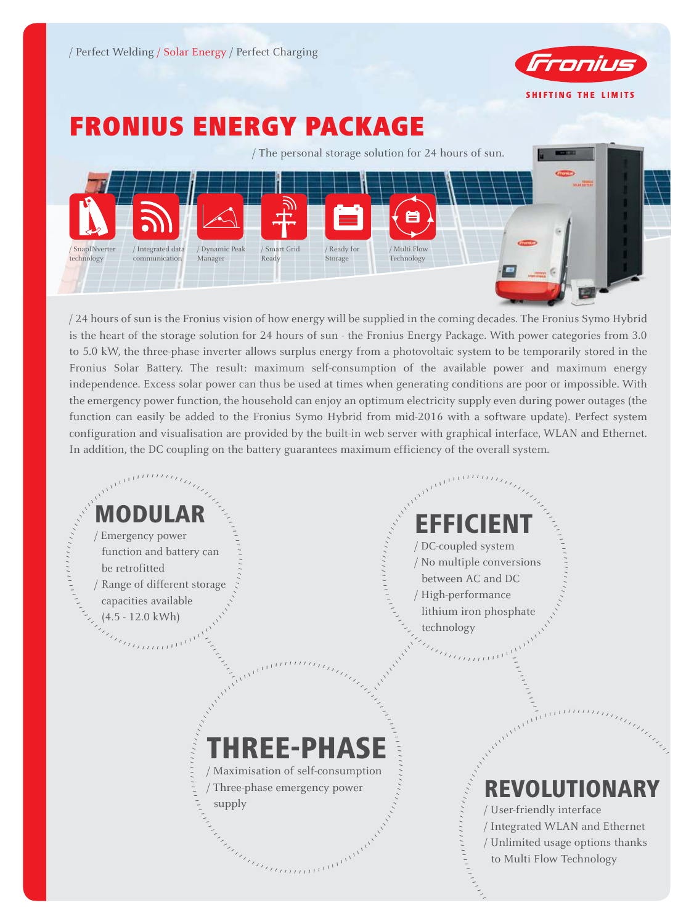

# FRONIUS ENERGY PACKAGE

/ The personal storage solution for 24 hours of sun. / Dynamic Peak Manager / Integrated data communication / Smart Grid **Ready** / SnapINverter technology / Ready for Storage / Multi Flow Technology

/ 24 hours of sun is the Fronius vision of how energy will be supplied in the coming decades. The Fronius Symo Hybrid is the heart of the storage solution for 24 hours of sun - the Fronius Energy Package. With power categories from 3.0 to 5.0 kW, the three-phase inverter allows surplus energy from a photovoltaic system to be temporarily stored in the Fronius Solar Battery. The result: maximum self-consumption of the available power and maximum energy independence. Excess solar power can thus be used at times when generating conditions are poor or impossible. With the emergency power function, the household can enjoy an optimum electricity supply even during power outages (the function can easily be added to the Fronius Symo Hybrid from mid-2016 with a software update). Perfect system configuration and visualisation are provided by the built-in web server with graphical interface, WLAN and Ethernet. In addition, the DC coupling on the battery guarantees maximum efficiency of the overall system.

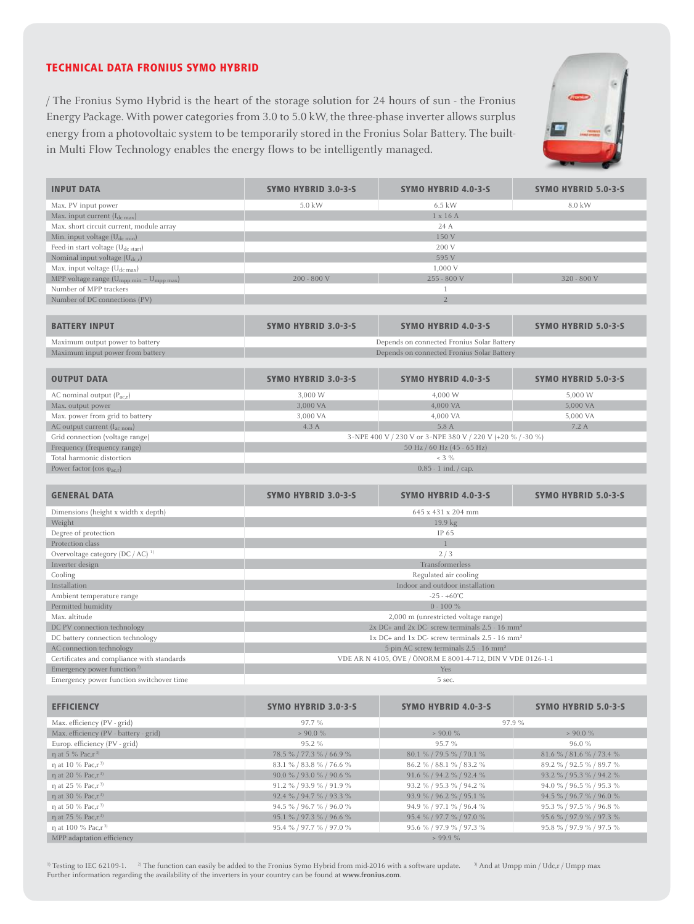#### TECHNICAL DATA FRONIUS SYMO HYBRID

/ The Fronius Symo Hybrid is the heart of the storage solution for 24 hours of sun - the Fronius Energy Package. With power categories from 3.0 to 5.0 kW, the three-phase inverter allows surplus energy from a photovoltaic system to be temporarily stored in the Fronius Solar Battery. The builtin Multi Flow Technology enables the energy flows to be intelligently managed.



| <b>INPUT DATA</b>                                 | <b>SYMO HYBRID 3.0-3-S</b>                                       | <b>SYMO HYBRID 4.0-3-S</b>                                 | <b>SYMO HYBRID 5.0-3-S</b> |  |
|---------------------------------------------------|------------------------------------------------------------------|------------------------------------------------------------|----------------------------|--|
| Max. PV input power                               | $5.0$ kW                                                         | $6.5$ kW                                                   | 8.0 kW                     |  |
| Max. input current $(I_{dc\ max})$                | 1 x 16 A                                                         |                                                            |                            |  |
| Max. short circuit current, module array          |                                                                  | 24 A                                                       |                            |  |
| Min. input voltage (U <sub>dc min</sub> )         |                                                                  | 150 V                                                      |                            |  |
| Feed-in start voltage (U <sub>dc start</sub> )    |                                                                  | 200 V                                                      |                            |  |
| Nominal input voltage $(U_{dcx})$                 |                                                                  | 595 V                                                      |                            |  |
| Max. input voltage $(U_{dc\ max})$                |                                                                  | 1,000V                                                     |                            |  |
| MPP voltage range $(U_{mpp\ min} - U_{mpp\ max})$ | $200 - 800$ V                                                    | 255 - 800 V                                                | 320 - 800 V                |  |
| Number of MPP trackers                            |                                                                  | $\mathbf{1}$                                               |                            |  |
| Number of DC connections (PV)                     |                                                                  | $\overline{2}$                                             |                            |  |
|                                                   |                                                                  |                                                            |                            |  |
| <b>BATTERY INPUT</b>                              | <b>SYMO HYBRID 3.0-3-S</b>                                       | <b>SYMO HYBRID 4.0-3-S</b>                                 | <b>SYMO HYBRID 5.0-3-S</b> |  |
| Maximum output power to battery                   |                                                                  | Depends on connected Fronius Solar Battery                 |                            |  |
| Maximum input power from battery                  |                                                                  | Depends on connected Fronius Solar Battery                 |                            |  |
|                                                   |                                                                  |                                                            |                            |  |
| <b>OUTPUT DATA</b>                                | <b>SYMO HYBRID 3.0-3-S</b>                                       | <b>SYMO HYBRID 4.0-3-S</b>                                 | <b>SYMO HYBRID 5.0-3-S</b> |  |
| AC nominal output $(P_{ac,r})$                    | 3,000 W                                                          | 4,000 W                                                    | 5,000 W                    |  |
| Max. output power                                 | 3,000 VA                                                         | 4,000 VA                                                   | 5,000 VA                   |  |
| Max. power from grid to battery                   | 3.000 VA                                                         | 4.000 VA                                                   | 5.000 VA                   |  |
| AC output current (I <sub>ac nom</sub> )          | 4.3 A                                                            | 5.8 A                                                      | 7.2 A                      |  |
| Grid connection (voltage range)                   |                                                                  | 3~NPE 400 V / 230 V or 3~NPE 380 V / 220 V (+20 % / -30 %) |                            |  |
| Frequency (frequency range)                       |                                                                  | 50 Hz / 60 Hz (45 - 65 Hz)                                 |                            |  |
| Total harmonic distortion                         |                                                                  | $< 3 \%$                                                   |                            |  |
| Power factor (cos $\varphi_{ac,r}$ )              | $0.85 - 1$ ind. $\frac{1}{2}$ cap.                               |                                                            |                            |  |
|                                                   |                                                                  |                                                            |                            |  |
| <b>GENERAL DATA</b>                               | <b>SYMO HYBRID 3.0-3-S</b>                                       | <b>SYMO HYBRID 4.0-3-S</b>                                 | <b>SYMO HYBRID 5.0-3-S</b> |  |
| Dimensions (height x width x depth)               | 645 x 431 x 204 mm                                               |                                                            |                            |  |
| Weight                                            | 19.9 kg                                                          |                                                            |                            |  |
| Degree of protection                              | IP 65                                                            |                                                            |                            |  |
| Protection class                                  |                                                                  |                                                            |                            |  |
| Overvoltage category (DC / AC) <sup>1)</sup>      | 2/3                                                              |                                                            |                            |  |
| Inverter design                                   | Transformerless                                                  |                                                            |                            |  |
| Cooling                                           | Regulated air cooling                                            |                                                            |                            |  |
| Installation                                      | Indoor and outdoor installation                                  |                                                            |                            |  |
| Ambient temperature range                         | $-25 - +60^{\circ}C$                                             |                                                            |                            |  |
| Permitted humidity                                | $0 - 100 \%$                                                     |                                                            |                            |  |
| Max. altitude                                     | 2,000 m (unrestricted voltage range)                             |                                                            |                            |  |
| DC PV connection technology                       | $2x$ DC+ and $2x$ DC- screw terminals $2.5 - 16$ mm <sup>2</sup> |                                                            |                            |  |
| DC battery connection technology                  | 1x DC+ and 1x DC- screw terminals 2.5 - 16 mm <sup>2</sup>       |                                                            |                            |  |
| AC connection technology                          | 5-pin AC screw terminals 2.5 - 16 mm <sup>2</sup>                |                                                            |                            |  |
| Certificates and compliance with standards        | VDE AR N 4105, ÖVE / ÖNORM E 8001-4-712, DIN V VDE 0126-1-1      |                                                            |                            |  |
| Emergency power function <sup>2)</sup>            |                                                                  | Yes                                                        |                            |  |
| Emergency power function switchover time          |                                                                  | 5 sec.                                                     |                            |  |
|                                                   |                                                                  |                                                            |                            |  |
| <b>EFFICIENCY</b>                                 | <b>SYMO HYBRID 3.0-3-S</b>                                       | <b>SYMO HYBRID 4.0-3-S</b>                                 | <b>SYMO HYBRID 5.0-3-S</b> |  |
| Max. efficiency (PV - grid)                       | 97.7%                                                            |                                                            | 97.9%                      |  |
|                                                   |                                                                  |                                                            |                            |  |

| Max. efficiency (PV - grid)           | 97.7 %<br>97.9%             |                          |                          |
|---------------------------------------|-----------------------------|--------------------------|--------------------------|
| Max. efficiency (PV - battery - grid) | $> 90.0 \%$                 | $>90.0\%$                | $>90.0\%$                |
| Europ. efficiency (PV - grid)         | 95.2%                       | 95.7%                    | 96.0%                    |
| $\eta$ at 5 % Pac, $r^{3}$            | 78.5 % / 77.3 % / 66.9 %    | 80.1 % / 79.5 % / 70.1 % | 81.6 % / 81.6 % / 73.4 % |
| $\eta$ at 10 % Pac, $r^{3}$           | 83.1 % / 83.8 % / 76.6 %    | 86.2 % / 88.1 % / 83.2 % | 89.2 % / 92.5 % / 89.7 % |
| $\eta$ at 20 % Pac, $r^{3}$           | $90.0 \%$ / 93.0 % / 90.6 % | 91.6 % / 94.2 % / 92.4 % | 93.2 % / 95.3 % / 94.2 % |
| $\eta$ at 25 % Pac, $r^{3}$           | 91.2 % / 93.9 % / 91.9 %    | 93.2 % / 95.3 % / 94.2 % | 94.0 % / 96.5 % / 95.3 % |
| $\eta$ at 30 % Pac, $r^{3}$           | 92.4 % / 94.7 % / 93.3 %    | 93.9 % / 96.2 % / 95.1 % | 94.5 % / 96.7 % / 96.0 % |
| $\eta$ at 50 % Pac, $r^{3}$           | 94.5 % / 96.7 % / 96.0 %    | 94.9 % / 97.1 % / 96.4 % | 95.3 % / 97.5 % / 96.8 % |
| $\eta$ at 75 % Pac, $r^{3}$           | 95.1 % / 97.3 % / 96.6 %    | 95.4 % / 97.7 % / 97.0 % | 95.6 % / 97.9 % / 97.3 % |
| η at 100 % Pac, r <sup>3)</sup>       | 95.4 % / 97.7 % / 97.0 %    | 95.6 % / 97.9 % / 97.3 % | 95.8 % / 97.9 % / 97.5 % |
| MPP adaptation efficiency             |                             | $>99.9\%$                |                          |

<sup>1)</sup> Testing to IEC 62109-1. <sup>2)</sup> The function can easily be added to the Fronius Symo Hybrid from mid-2016 with a software update. <sup>3</sup>) And at Umpp min / Udc,r / Umpp max Further information regarding the availability of the inverters in your country can be found at **www.fronius.com**.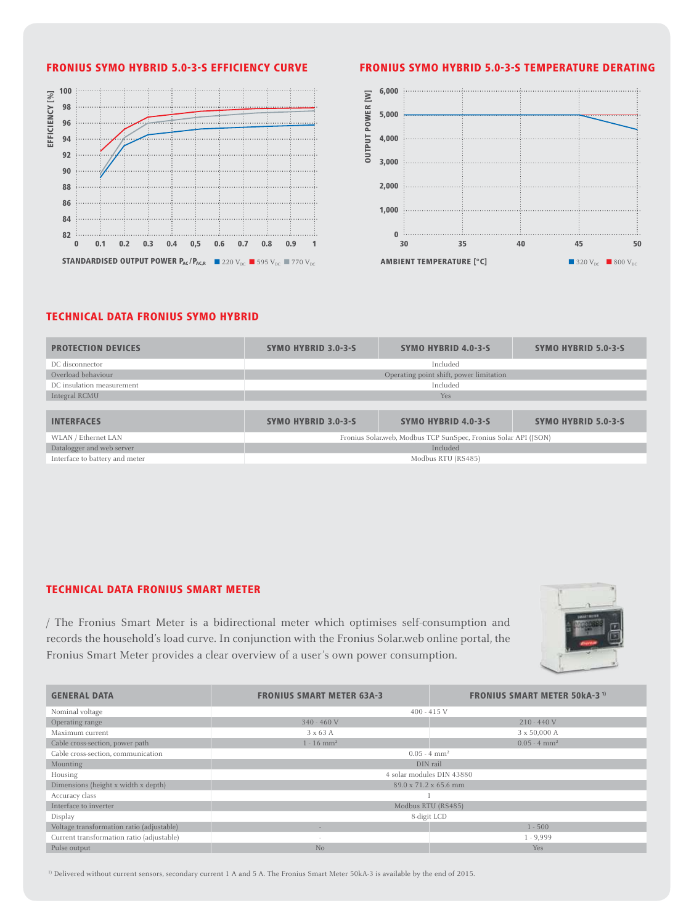

#### FRONIUS SYMO HYBRID 5.0-3-S EFFICIENCY CURVE FRONIUS SYMO HYBRID 5.0-3-S TEMPERATURE DERATING



#### TECHNICAL DATA FRONIUS SYMO HYBRID

| <b>PROTECTION DEVICES</b>      | <b>SYMO HYBRID 3.0-3-S</b>                                      | <b>SYMO HYBRID 4.0-3-S</b>              | <b>SYMO HYBRID 5.0-3-S</b> |  |
|--------------------------------|-----------------------------------------------------------------|-----------------------------------------|----------------------------|--|
| DC disconnector                |                                                                 | Included                                |                            |  |
| Overload behaviour             |                                                                 | Operating point shift, power limitation |                            |  |
| DC insulation measurement      |                                                                 | Included                                |                            |  |
| Integral RCMU                  | <b>Yes</b>                                                      |                                         |                            |  |
|                                |                                                                 |                                         |                            |  |
| <b>INTERFACES</b>              | <b>SYMO HYBRID 3.0-3-S</b>                                      | <b>SYMO HYBRID 4.0-3-S</b>              | <b>SYMO HYBRID 5.0-3-S</b> |  |
| WLAN / Ethernet LAN            | Fronius Solar.web, Modbus TCP SunSpec, Fronius Solar API (JSON) |                                         |                            |  |
| Datalogger and web server      | Included                                                        |                                         |                            |  |
| Interface to battery and meter | Modbus RTU (RS485)                                              |                                         |                            |  |

#### TECHNICAL DATA FRONIUS SMART METER

/ The Fronius Smart Meter is a bidirectional meter which optimises self-consumption and records the household's load curve. In conjunction with the Fronius Solar.web online portal, the Fronius Smart Meter provides a clear overview of a user's own power consumption.



| <b>GENERAL DATA</b>                       | <b>FRONIUS SMART METER 63A-3</b> | <b>FRONIUS SMART METER 50kA-3<sup>1</sup></b> |  |  |
|-------------------------------------------|----------------------------------|-----------------------------------------------|--|--|
| Nominal voltage                           | $400 - 415$ V                    |                                               |  |  |
| Operating range                           | $340 - 460$ V                    | $210 - 440$ V                                 |  |  |
| Maximum current                           | $3 \times 63$ A                  | 3 x 50,000 A                                  |  |  |
| Cable cross-section, power path           | $1 - 16$ mm <sup>2</sup>         | $0.05 - 4 \text{ mm}^2$                       |  |  |
| Cable cross-section, communication        | $0.05 - 4 \text{ mm}^2$          |                                               |  |  |
| Mounting                                  | DIN rail                         |                                               |  |  |
| Housing                                   | 4 solar modules DIN 43880        |                                               |  |  |
| Dimensions (height x width x depth)       | 89.0 x 71.2 x 65.6 mm            |                                               |  |  |
| Accuracy class                            |                                  |                                               |  |  |
| Interface to inverter                     | Modbus RTU (RS485)               |                                               |  |  |
| Display                                   | 8-digit LCD                      |                                               |  |  |
| Voltage transformation ratio (adjustable) | $1 - 500$<br>$\frac{1}{2}$       |                                               |  |  |
| Current transformation ratio (adjustable) | $1 - 9,999$<br>$\sim$            |                                               |  |  |
| Pulse output                              | N <sub>o</sub>                   | <b>Yes</b>                                    |  |  |

1) Delivered without current sensors, secondary current 1 A and 5 A. The Fronius Smart Meter 50kA-3 is available by the end of 2015.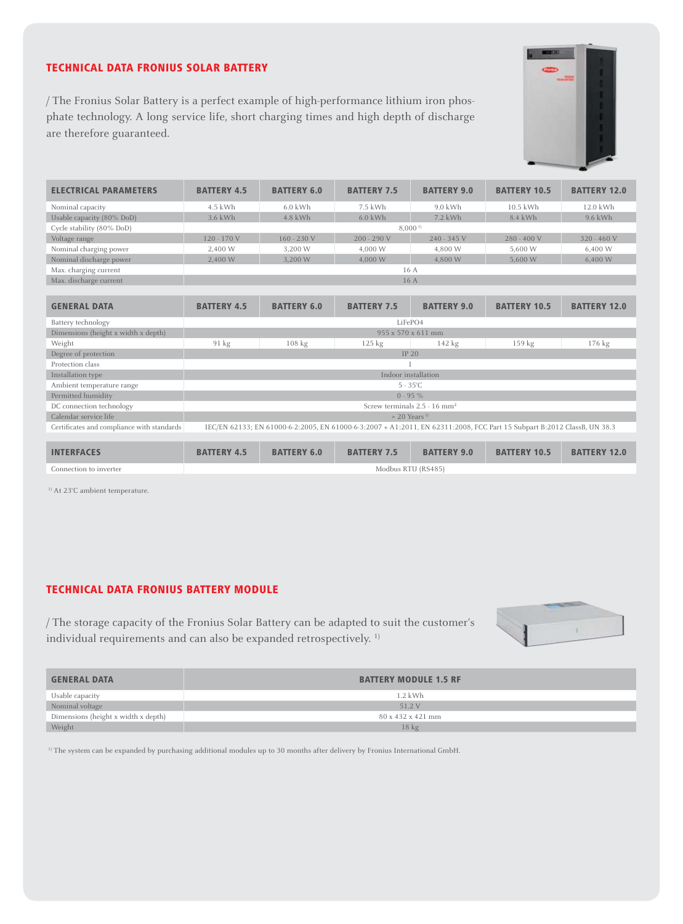#### TECHNICAL DATA FRONIUS SOLAR BATTERY

/ The Fronius Solar Battery is a perfect example of high-performance lithium iron phosphate technology. A long service life, short charging times and high depth of discharge are therefore guaranteed.



| <b>ELECTRICAL PARAMETERS</b>        | <b>BATTERY 4.5</b>                       | <b>BATTERY 6.0</b> | <b>BATTERY 7.5</b> | <b>BATTERY 9.0</b>         | <b>BATTERY 10.5</b> | <b>BATTERY 12.0</b> |
|-------------------------------------|------------------------------------------|--------------------|--------------------|----------------------------|---------------------|---------------------|
| Nominal capacity                    | $4.5$ kWh                                | $6.0$ kWh          | 7.5 kWh            | 9.0 kWh                    | $10.5$ kWh          | 12.0 kWh            |
| Usable capacity (80% DoD)           | 3.6 kWh                                  | $4.8$ kWh          | $6.0$ kWh          | $7.2$ kWh                  | 8.4 kWh             | 9.6 kWh             |
| Cycle stability (80% DoD)           |                                          |                    |                    | $8,000^{11}$               |                     |                     |
| Voltage range                       | 120 - 170 V                              | $160 - 230V$       | $200 - 290V$       | 240 - 345 V                | 280 - 400 V         | 320 - 460 V         |
| Nominal charging power              | 2,400 W                                  | 3.200 W            | 4.000 W            | 4,800 W                    | 5.600 W             | 6,400 W             |
| Nominal discharge power             | 2,400 W                                  | 3,200 W            | 4,000 W            | 4,800 W                    | 5,600 W             | 6,400 W             |
| Max. charging current               |                                          |                    |                    | 16 A                       |                     |                     |
| Max. discharge current              |                                          |                    |                    | 16 A                       |                     |                     |
|                                     |                                          |                    |                    |                            |                     |                     |
| <b>GENERAL DATA</b>                 | <b>BATTERY 4.5</b>                       | <b>BATTERY 6.0</b> | <b>BATTERY 7.5</b> | <b>BATTERY 9.0</b>         | <b>BATTERY 10.5</b> | <b>BATTERY 12.0</b> |
| Battery technology                  |                                          | LiFePO4            |                    |                            |                     |                     |
| Dimensions (height x width x depth) |                                          |                    |                    | 955 x 570 x 611 mm         |                     |                     |
| Weight                              | $91 \text{ kg}$                          | $108 \text{ kg}$   | $125 \text{ kg}$   | $142 \text{ kg}$           | $159 \text{ kg}$    | 176 kg              |
| Degree of protection                | <b>IP 20</b>                             |                    |                    |                            |                     |                     |
| Protection class                    |                                          |                    |                    |                            |                     |                     |
| Installation type                   | Indoor installation                      |                    |                    |                            |                     |                     |
| Ambient temperature range           | $5 - 35^{\circ}C$                        |                    |                    |                            |                     |                     |
| Permitted humidity                  |                                          | $0 - 95 \%$        |                    |                            |                     |                     |
| DC connection technology            | Screw terminals 2.5 - 16 mm <sup>2</sup> |                    |                    |                            |                     |                     |
|                                     |                                          |                    |                    |                            |                     |                     |
| Calendar service life               |                                          |                    |                    | $>$ 20 Years <sup>1)</sup> |                     |                     |

Certificates and compliance with standards IEC/EN 62133; EN 61000-6-2:2005, EN 61000-6-3:2007 + A1:2011, EN 62311:2008, FCC Part 15 Subpart B:2012 ClassB, UN 38.3

| <b>INTERFACES</b>      | <b>BATTERY 4.5</b> | <b>BATTERY 6.0</b> | <b>BATTERY 7.5</b> | <b>BATTERY 9.0</b> | <b>BATTERY 10.5</b> | <b>BATTERY 12.0</b> |
|------------------------|--------------------|--------------------|--------------------|--------------------|---------------------|---------------------|
| Connection to inverter |                    |                    |                    | Modbus RTU (RS485) |                     |                     |

<sup>1)</sup> At 23°C ambient temperature.

#### TECHNICAL DATA FRONIUS BATTERY MODULE

/ The storage capacity of the Fronius Solar Battery can be adapted to suit the customer's individual requirements and can also be expanded retrospectively.<sup>1)</sup>



| <b>GENERAL DATA</b>                 | <b>BATTERY MODULE 1.5 RF</b> |
|-------------------------------------|------------------------------|
| Usable capacity                     | 1.2 kWh                      |
| Nominal voltage                     | 51.2 V                       |
| Dimensions (height x width x depth) | 80 x 432 x 421 mm            |
| Weight                              | $18 \text{ kg}$              |

1) The system can be expanded by purchasing additional modules up to 30 months after delivery by Fronius International GmbH.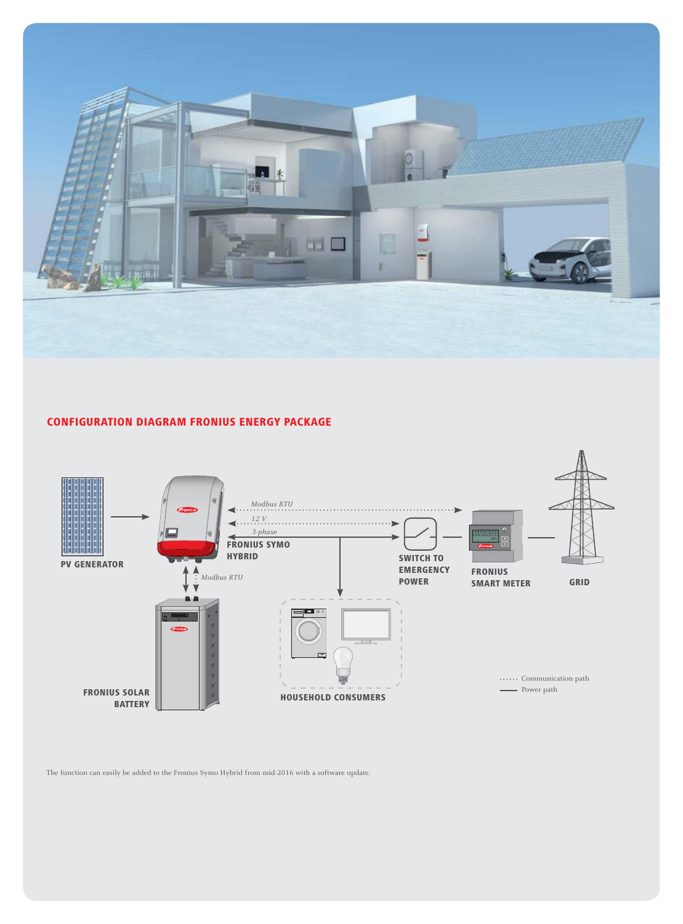

### CONFIGURATION DIAGRAM FRONIUS ENERGY PACKAGE



The function can easily be added to the Fronius Symo Hybrid from mid-2016 with a software update.